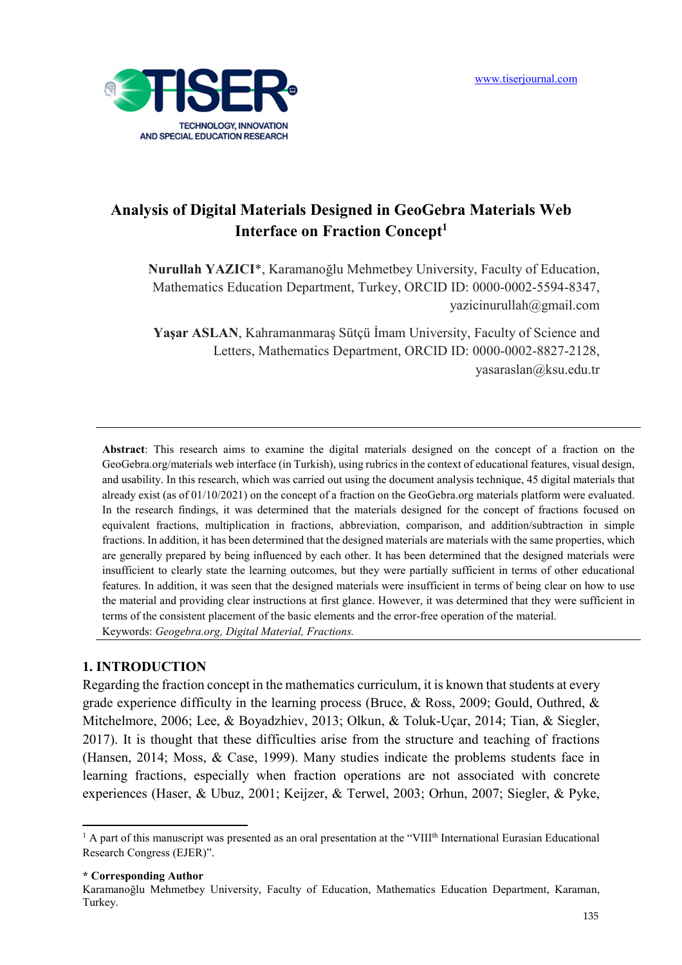

# **Analysis of Digital Materials Designed in GeoGebra Materials Web Interface on Fraction Concept<sup>1</sup>**

**Nurullah YAZICI**\*, Karamanoğlu Mehmetbey University, Faculty of Education, Mathematics Education Department, Turkey, ORCID ID: 0000-0002-5594-8347, yazicinurullah@gmail.com

**Yaşar ASLAN**, Kahramanmaraş Sütçü İmam University, Faculty of Science and Letters, Mathematics Department, ORCID ID: 0000-0002-8827-2128, yasaraslan@ksu.edu.tr

**Abstract**: This research aims to examine the digital materials designed on the concept of a fraction on the GeoGebra.org/materials web interface (in Turkish), using rubrics in the context of educational features, visual design, and usability. In this research, which was carried out using the document analysis technique, 45 digital materials that already exist (as of 01/10/2021) on the concept of a fraction on the GeoGebra.org materials platform were evaluated. In the research findings, it was determined that the materials designed for the concept of fractions focused on equivalent fractions, multiplication in fractions, abbreviation, comparison, and addition/subtraction in simple fractions. In addition, it has been determined that the designed materials are materials with the same properties, which are generally prepared by being influenced by each other. It has been determined that the designed materials were insufficient to clearly state the learning outcomes, but they were partially sufficient in terms of other educational features. In addition, it was seen that the designed materials were insufficient in terms of being clear on how to use the material and providing clear instructions at first glance. However, it was determined that they were sufficient in terms of the consistent placement of the basic elements and the error-free operation of the material. Keywords: *Geogebra.org, Digital Material, Fractions.* 

### **1. INTRODUCTION**

Regarding the fraction concept in the mathematics curriculum, it is known that students at every grade experience difficulty in the learning process (Bruce, & Ross, 2009; Gould, Outhred, & Mitchelmore, 2006; Lee, & Boyadzhiev, 2013; Olkun, & Toluk-Uçar, 2014; Tian, & Siegler, 2017). It is thought that these difficulties arise from the structure and teaching of fractions (Hansen, 2014; Moss, & Case, 1999). Many studies indicate the problems students face in learning fractions, especially when fraction operations are not associated with concrete experiences (Haser, & Ubuz, 2001; Keijzer, & Terwel, 2003; Orhun, 2007; Siegler, & Pyke,

**\* Corresponding Author** 

l

<sup>&</sup>lt;sup>1</sup> A part of this manuscript was presented as an oral presentation at the "VIII<sup>th</sup> International Eurasian Educational Research Congress (EJER)".

Karamanoğlu Mehmetbey University, Faculty of Education, Mathematics Education Department, Karaman, Turkey.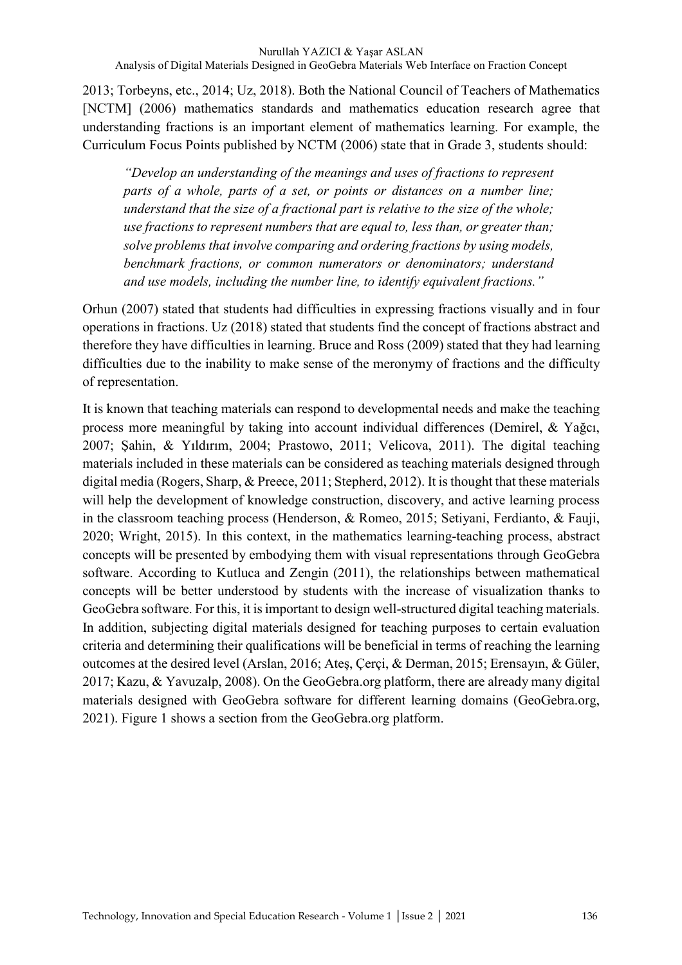2013; Torbeyns, etc., 2014; Uz, 2018). Both the National Council of Teachers of Mathematics [NCTM] (2006) mathematics standards and mathematics education research agree that understanding fractions is an important element of mathematics learning. For example, the Curriculum Focus Points published by NCTM (2006) state that in Grade 3, students should:

*"Develop an understanding of the meanings and uses of fractions to represent parts of a whole, parts of a set, or points or distances on a number line; understand that the size of a fractional part is relative to the size of the whole; use fractions to represent numbers that are equal to, less than, or greater than; solve problems that involve comparing and ordering fractions by using models, benchmark fractions, or common numerators or denominators; understand and use models, including the number line, to identify equivalent fractions."* 

Orhun (2007) stated that students had difficulties in expressing fractions visually and in four operations in fractions. Uz (2018) stated that students find the concept of fractions abstract and therefore they have difficulties in learning. Bruce and Ross (2009) stated that they had learning difficulties due to the inability to make sense of the meronymy of fractions and the difficulty of representation.

It is known that teaching materials can respond to developmental needs and make the teaching process more meaningful by taking into account individual differences (Demirel, & Yağcı, 2007; Şahin, & Yıldırım, 2004; Prastowo, 2011; Velicova, 2011). The digital teaching materials included in these materials can be considered as teaching materials designed through digital media (Rogers, Sharp, & Preece, 2011; Stepherd, 2012). It is thought that these materials will help the development of knowledge construction, discovery, and active learning process in the classroom teaching process (Henderson, & Romeo, 2015; Setiyani, Ferdianto, & Fauji, 2020; Wright, 2015). In this context, in the mathematics learning-teaching process, abstract concepts will be presented by embodying them with visual representations through GeoGebra software. According to Kutluca and Zengin (2011), the relationships between mathematical concepts will be better understood by students with the increase of visualization thanks to GeoGebra software. For this, it is important to design well-structured digital teaching materials. In addition, subjecting digital materials designed for teaching purposes to certain evaluation criteria and determining their qualifications will be beneficial in terms of reaching the learning outcomes at the desired level (Arslan, 2016; Ateş, Çerçi, & Derman, 2015; Erensayın, & Güler, 2017; Kazu, & Yavuzalp, 2008). On the GeoGebra.org platform, there are already many digital materials designed with GeoGebra software for different learning domains (GeoGebra.org, 2021). Figure 1 shows a section from the GeoGebra.org platform.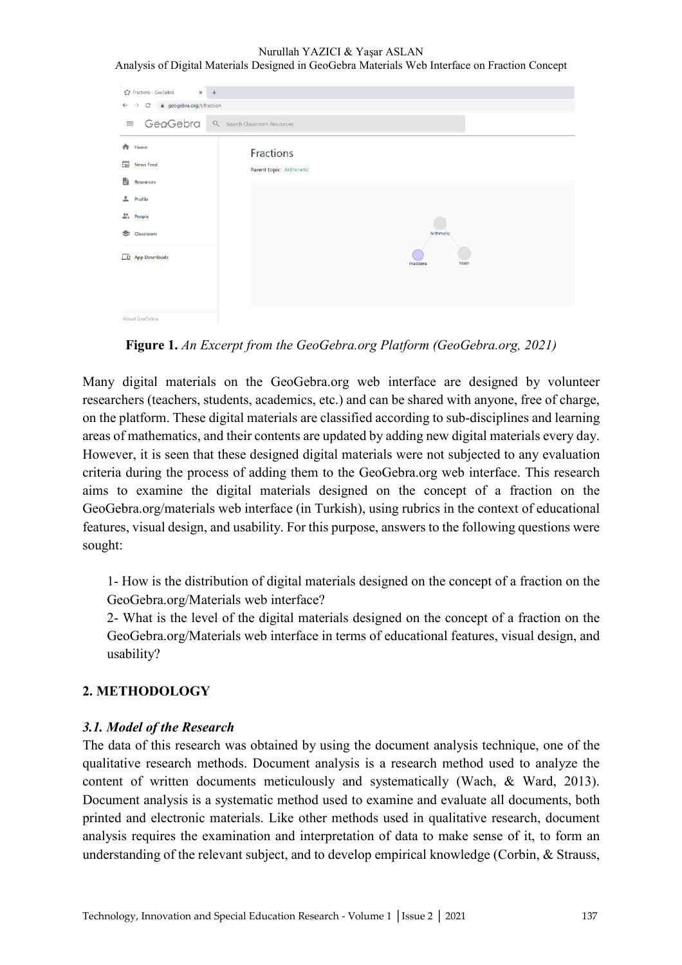Nurullah YAZICI & Yaşar ASLAN Analysis of Digital Materials Designed in GeoGebra Materials Web Interface on Fraction Concept

| Fractions - GeoGebra<br>$x +$<br>C' a geogebra.org/t/fraction<br>$\leftarrow$ $\rightarrow$ |                                       |                   |
|---------------------------------------------------------------------------------------------|---------------------------------------|-------------------|
| $=$ GeoGebra                                                                                | Q Search Classroom Resources          |                   |
| ₳<br>Home<br>News Feed<br>B<br>Resources<br>Profile                                         | Fractions<br>Parent topic: Arithmetic |                   |
| $m1$ People<br>Classroom<br>s.                                                              |                                       | Arithmetic        |
| LD App Downloads                                                                            |                                       | Math<br>Fractions |
| About GeoGebra                                                                              |                                       |                   |

**Figure 1.** *An Excerpt from the GeoGebra.org Platform (GeoGebra.org, 2021)* 

Many digital materials on the GeoGebra.org web interface are designed by volunteer researchers (teachers, students, academics, etc.) and can be shared with anyone, free of charge, on the platform. These digital materials are classified according to sub-disciplines and learning areas of mathematics, and their contents are updated by adding new digital materials every day. However, it is seen that these designed digital materials were not subjected to any evaluation criteria during the process of adding them to the GeoGebra.org web interface. This research aims to examine the digital materials designed on the concept of a fraction on the GeoGebra.org/materials web interface (in Turkish), using rubrics in the context of educational features, visual design, and usability. For this purpose, answers to the following questions were sought:

1- How is the distribution of digital materials designed on the concept of a fraction on the GeoGebra.org/Materials web interface?

2- What is the level of the digital materials designed on the concept of a fraction on the GeoGebra.org/Materials web interface in terms of educational features, visual design, and usability?

## **2. METHODOLOGY**

## *3.1. Model of the Research*

The data of this research was obtained by using the document analysis technique, one of the qualitative research methods. Document analysis is a research method used to analyze the content of written documents meticulously and systematically (Wach, & Ward, 2013). Document analysis is a systematic method used to examine and evaluate all documents, both printed and electronic materials. Like other methods used in qualitative research, document analysis requires the examination and interpretation of data to make sense of it, to form an understanding of the relevant subject, and to develop empirical knowledge (Corbin, & Strauss,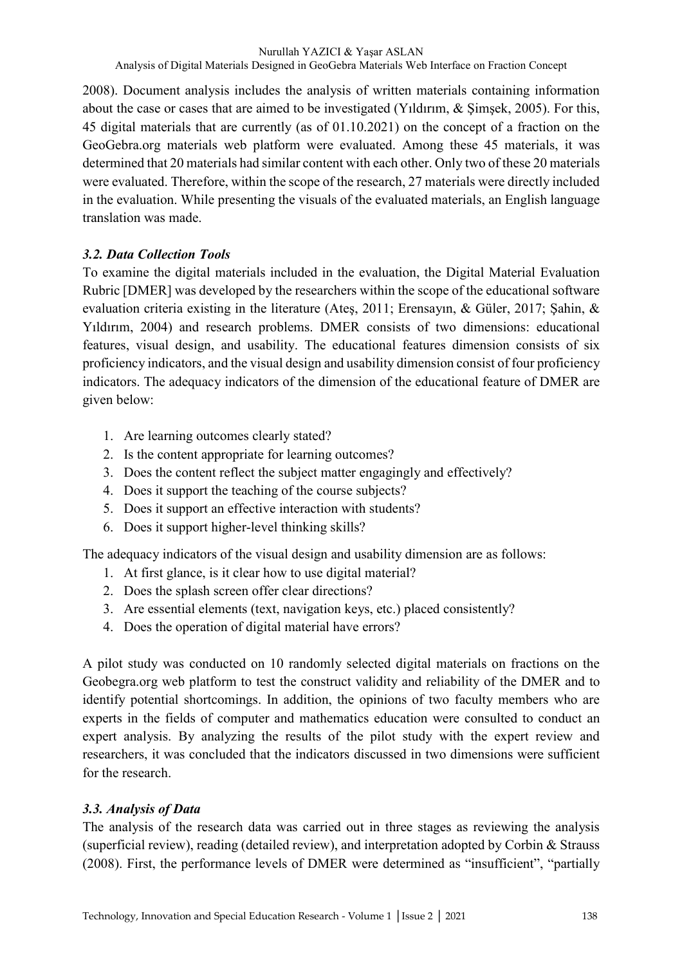2008). Document analysis includes the analysis of written materials containing information about the case or cases that are aimed to be investigated (Yıldırım, & Şimşek, 2005). For this, 45 digital materials that are currently (as of 01.10.2021) on the concept of a fraction on the GeoGebra.org materials web platform were evaluated. Among these 45 materials, it was determined that 20 materials had similar content with each other. Only two of these 20 materials were evaluated. Therefore, within the scope of the research, 27 materials were directly included in the evaluation. While presenting the visuals of the evaluated materials, an English language translation was made.

# *3.2. Data Collection Tools*

To examine the digital materials included in the evaluation, the Digital Material Evaluation Rubric [DMER] was developed by the researchers within the scope of the educational software evaluation criteria existing in the literature (Ateş, 2011; Erensayın, & Güler, 2017; Şahin, & Yıldırım, 2004) and research problems. DMER consists of two dimensions: educational features, visual design, and usability. The educational features dimension consists of six proficiency indicators, and the visual design and usability dimension consist of four proficiency indicators. The adequacy indicators of the dimension of the educational feature of DMER are given below:

- 1. Are learning outcomes clearly stated?
- 2. Is the content appropriate for learning outcomes?
- 3. Does the content reflect the subject matter engagingly and effectively?
- 4. Does it support the teaching of the course subjects?
- 5. Does it support an effective interaction with students?
- 6. Does it support higher-level thinking skills?

The adequacy indicators of the visual design and usability dimension are as follows:

- 1. At first glance, is it clear how to use digital material?
- 2. Does the splash screen offer clear directions?
- 3. Are essential elements (text, navigation keys, etc.) placed consistently?
- 4. Does the operation of digital material have errors?

A pilot study was conducted on 10 randomly selected digital materials on fractions on the Geobegra.org web platform to test the construct validity and reliability of the DMER and to identify potential shortcomings. In addition, the opinions of two faculty members who are experts in the fields of computer and mathematics education were consulted to conduct an expert analysis. By analyzing the results of the pilot study with the expert review and researchers, it was concluded that the indicators discussed in two dimensions were sufficient for the research.

# *3.3. Analysis of Data*

The analysis of the research data was carried out in three stages as reviewing the analysis (superficial review), reading (detailed review), and interpretation adopted by Corbin & Strauss (2008). First, the performance levels of DMER were determined as "insufficient", "partially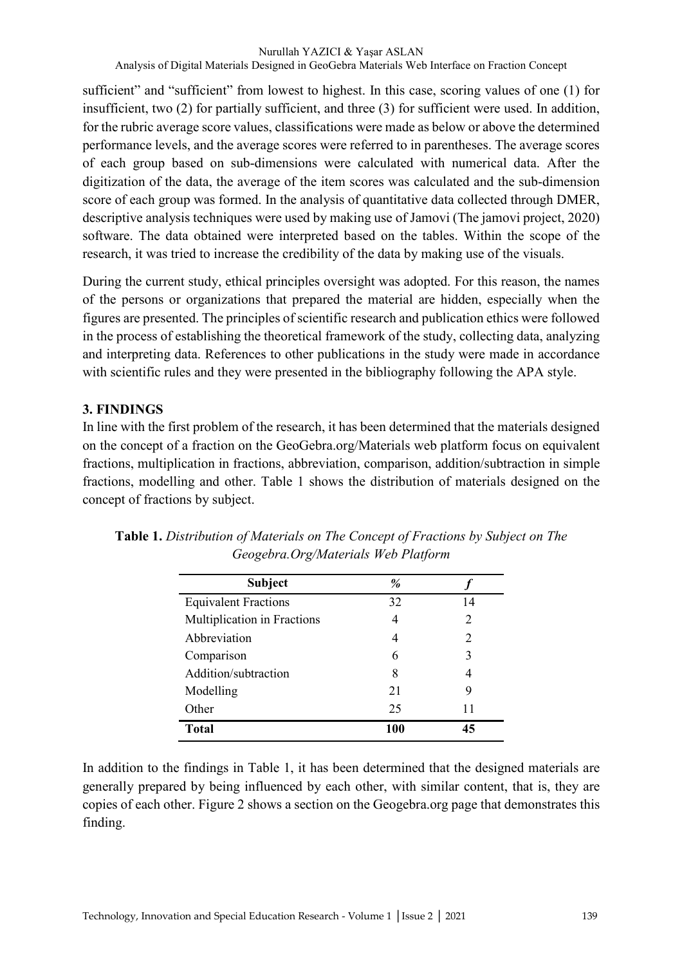sufficient" and "sufficient" from lowest to highest. In this case, scoring values of one (1) for insufficient, two (2) for partially sufficient, and three (3) for sufficient were used. In addition, for the rubric average score values, classifications were made as below or above the determined performance levels, and the average scores were referred to in parentheses. The average scores of each group based on sub-dimensions were calculated with numerical data. After the digitization of the data, the average of the item scores was calculated and the sub-dimension score of each group was formed. In the analysis of quantitative data collected through DMER, descriptive analysis techniques were used by making use of Jamovi (The jamovi project, 2020) software. The data obtained were interpreted based on the tables. Within the scope of the research, it was tried to increase the credibility of the data by making use of the visuals.

During the current study, ethical principles oversight was adopted. For this reason, the names of the persons or organizations that prepared the material are hidden, especially when the figures are presented. The principles of scientific research and publication ethics were followed in the process of establishing the theoretical framework of the study, collecting data, analyzing and interpreting data. References to other publications in the study were made in accordance with scientific rules and they were presented in the bibliography following the APA style.

# **3. FINDINGS**

In line with the first problem of the research, it has been determined that the materials designed on the concept of a fraction on the GeoGebra.org/Materials web platform focus on equivalent fractions, multiplication in fractions, abbreviation, comparison, addition/subtraction in simple fractions, modelling and other. Table 1 shows the distribution of materials designed on the concept of fractions by subject.

| <b>Subject</b>              | %   |    |
|-----------------------------|-----|----|
| <b>Equivalent Fractions</b> | 32  | 14 |
| Multiplication in Fractions | 4   | 2  |
| Abbreviation                | 4   | 2  |
| Comparison                  | 6   | 3  |
| Addition/subtraction        | 8   | 4  |
| Modelling                   | 21  | 9  |
| Other                       | 25  | 11 |
| <b>Total</b>                | 100 | 45 |

**Table 1.** *Distribution of Materials on The Concept of Fractions by Subject on The Geogebra.Org/Materials Web Platform*

In addition to the findings in Table 1, it has been determined that the designed materials are generally prepared by being influenced by each other, with similar content, that is, they are copies of each other. Figure 2 shows a section on the Geogebra.org page that demonstrates this finding.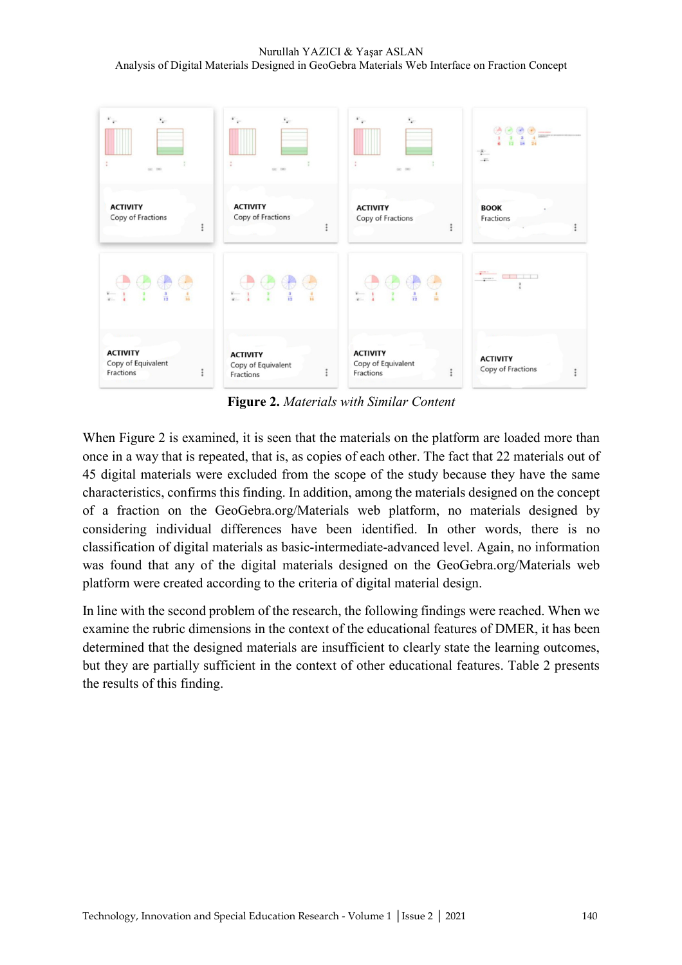### Nurullah YAZICI & Yaşar ASLAN Analysis of Digital Materials Designed in GeoGebra Materials Web Interface on Fraction Concept



**Figure 2.** *Materials with Similar Content*

When Figure 2 is examined, it is seen that the materials on the platform are loaded more than once in a way that is repeated, that is, as copies of each other. The fact that 22 materials out of 45 digital materials were excluded from the scope of the study because they have the same characteristics, confirms this finding. In addition, among the materials designed on the concept of a fraction on the GeoGebra.org/Materials web platform, no materials designed by considering individual differences have been identified. In other words, there is no classification of digital materials as basic-intermediate-advanced level. Again, no information was found that any of the digital materials designed on the GeoGebra.org/Materials web platform were created according to the criteria of digital material design.

In line with the second problem of the research, the following findings were reached. When we examine the rubric dimensions in the context of the educational features of DMER, it has been determined that the designed materials are insufficient to clearly state the learning outcomes, but they are partially sufficient in the context of other educational features. Table 2 presents the results of this finding.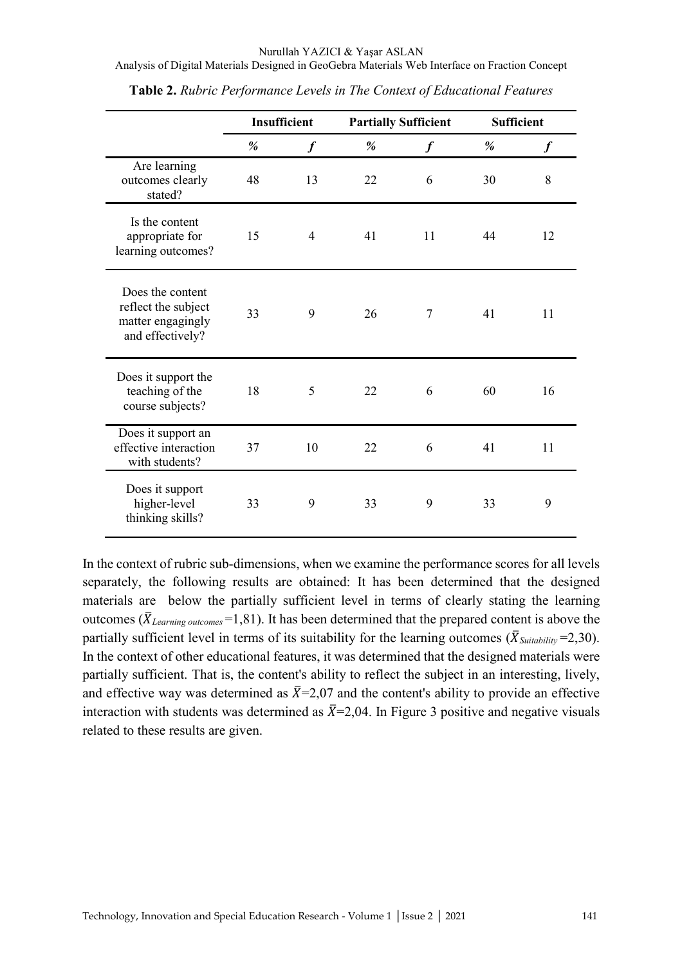Analysis of Digital Materials Designed in GeoGebra Materials Web Interface on Fraction Concept

|                                                                                  | Insufficient |                  | <b>Partially Sufficient</b> |                  | <b>Sufficient</b> |                  |
|----------------------------------------------------------------------------------|--------------|------------------|-----------------------------|------------------|-------------------|------------------|
|                                                                                  | %            | $\boldsymbol{f}$ | $\%$                        | $\boldsymbol{f}$ | %                 | $\boldsymbol{f}$ |
| Are learning<br>outcomes clearly<br>stated?                                      | 48           | 13               | 22                          | 6                | 30                | 8                |
| Is the content<br>appropriate for<br>learning outcomes?                          | 15           | 4                | 41                          | 11               | 44                | 12               |
| Does the content<br>reflect the subject<br>matter engagingly<br>and effectively? | 33           | 9                | 26                          | $\overline{7}$   | 41                | 11               |
| Does it support the<br>teaching of the<br>course subjects?                       | 18           | 5                | 22                          | 6                | 60                | 16               |
| Does it support an<br>effective interaction<br>with students?                    | 37           | 10               | 22                          | 6                | 41                | 11               |
| Does it support<br>higher-level<br>thinking skills?                              | 33           | 9                | 33                          | 9                | 33                | 9                |

**Table 2.** *Rubric Performance Levels in The Context of Educational Features*

In the context of rubric sub-dimensions, when we examine the performance scores for all levels separately, the following results are obtained: It has been determined that the designed materials are below the partially sufficient level in terms of clearly stating the learning outcomes ( $\overline{X}_{Learning\ outcomes}$ =1,81). It has been determined that the prepared content is above the partially sufficient level in terms of its suitability for the learning outcomes ( $\bar{X}_{\text{Suitability}}$ =2,30). In the context of other educational features, it was determined that the designed materials were partially sufficient. That is, the content's ability to reflect the subject in an interesting, lively, and effective way was determined as  $\bar{X}$ =2,07 and the content's ability to provide an effective interaction with students was determined as  $\bar{X}$ =2,04. In Figure 3 positive and negative visuals related to these results are given.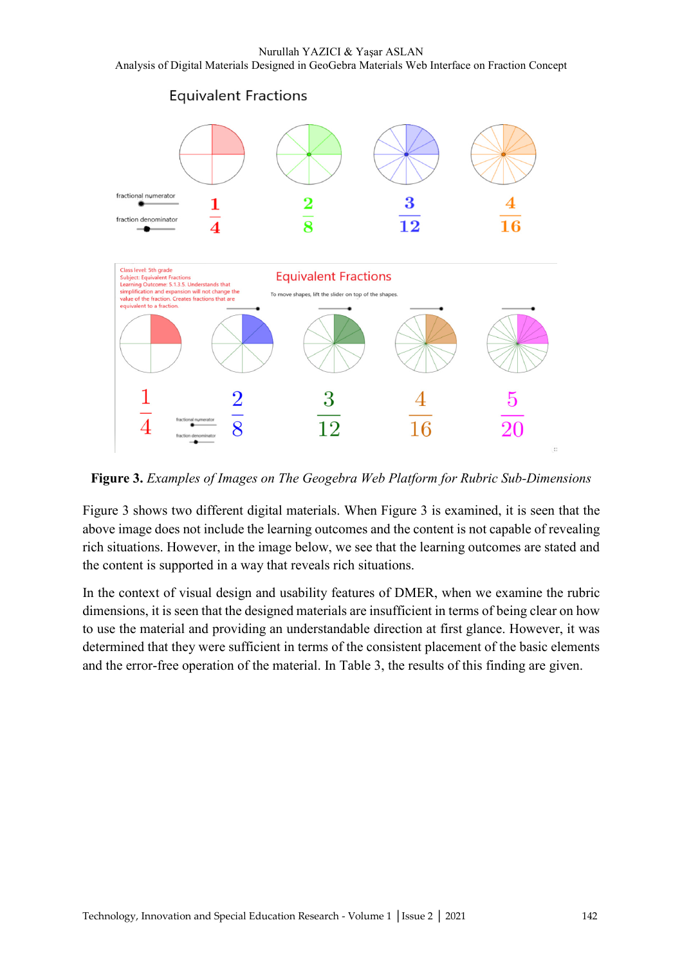

**Figure 3.** *Examples of Images on The Geogebra Web Platform for Rubric Sub-Dimensions*

Figure 3 shows two different digital materials. When Figure 3 is examined, it is seen that the above image does not include the learning outcomes and the content is not capable of revealing rich situations. However, in the image below, we see that the learning outcomes are stated and the content is supported in a way that reveals rich situations.

In the context of visual design and usability features of DMER, when we examine the rubric dimensions, it is seen that the designed materials are insufficient in terms of being clear on how to use the material and providing an understandable direction at first glance. However, it was determined that they were sufficient in terms of the consistent placement of the basic elements and the error-free operation of the material. In Table 3, the results of this finding are given.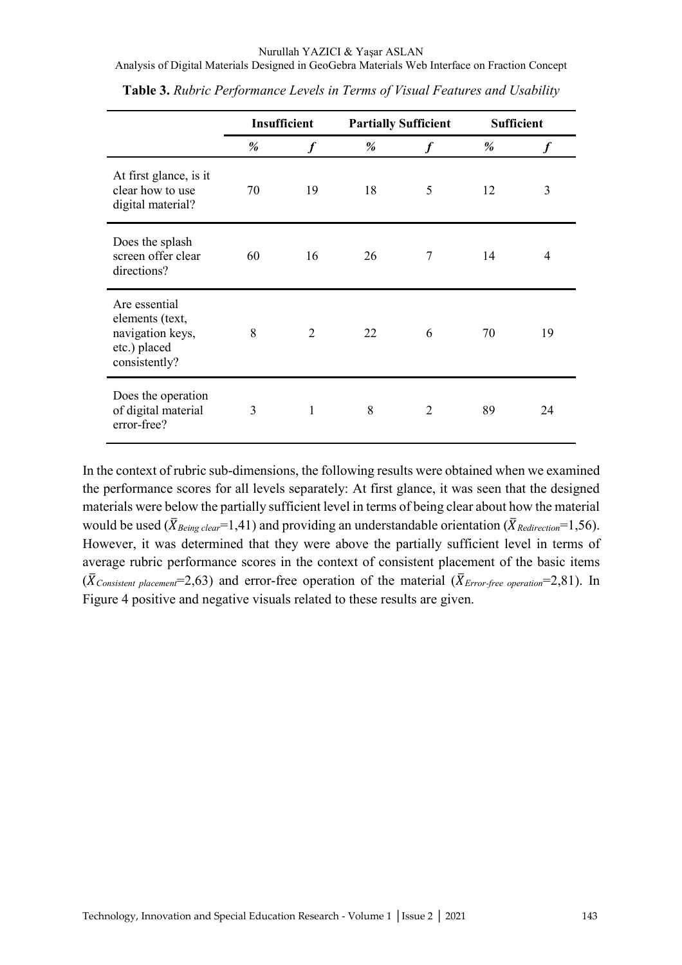Analysis of Digital Materials Designed in GeoGebra Materials Web Interface on Fraction Concept

|                                                                                       | Insufficient |                  | <b>Partially Sufficient</b> |                  | <b>Sufficient</b> |    |
|---------------------------------------------------------------------------------------|--------------|------------------|-----------------------------|------------------|-------------------|----|
|                                                                                       | %            | $\boldsymbol{f}$ | %                           | $\boldsymbol{f}$ | %                 |    |
| At first glance, is it<br>clear how to use<br>digital material?                       | 70           | 19               | 18                          | 5                | 12                | 3  |
| Does the splash<br>screen offer clear<br>directions?                                  | 60           | 16               | 26                          | 7                | 14                | 4  |
| Are essential<br>elements (text,<br>navigation keys,<br>etc.) placed<br>consistently? | 8            | $\overline{2}$   | 22                          | 6                | 70                | 19 |
| Does the operation<br>of digital material<br>error-free?                              | 3            | $\mathbf{1}$     | 8                           | 2                | 89                | 24 |

**Table 3.** *Rubric Performance Levels in Terms of Visual Features and Usability*

In the context of rubric sub-dimensions, the following results were obtained when we examined the performance scores for all levels separately: At first glance, it was seen that the designed materials were below the partially sufficient level in terms of being clear about how the material would be used ( $\bar{X}_{Being \text{ clear}}$ =1,41) and providing an understandable orientation ( $\bar{X}_{Redirection}$ =1,56). However, it was determined that they were above the partially sufficient level in terms of average rubric performance scores in the context of consistent placement of the basic items  $(\bar{X}_{Consistent\ placement}=2.63)$  and error-free operation of the material  $(\bar{X}_{Error\-free\ operation}=2.81)$ . In Figure 4 positive and negative visuals related to these results are given.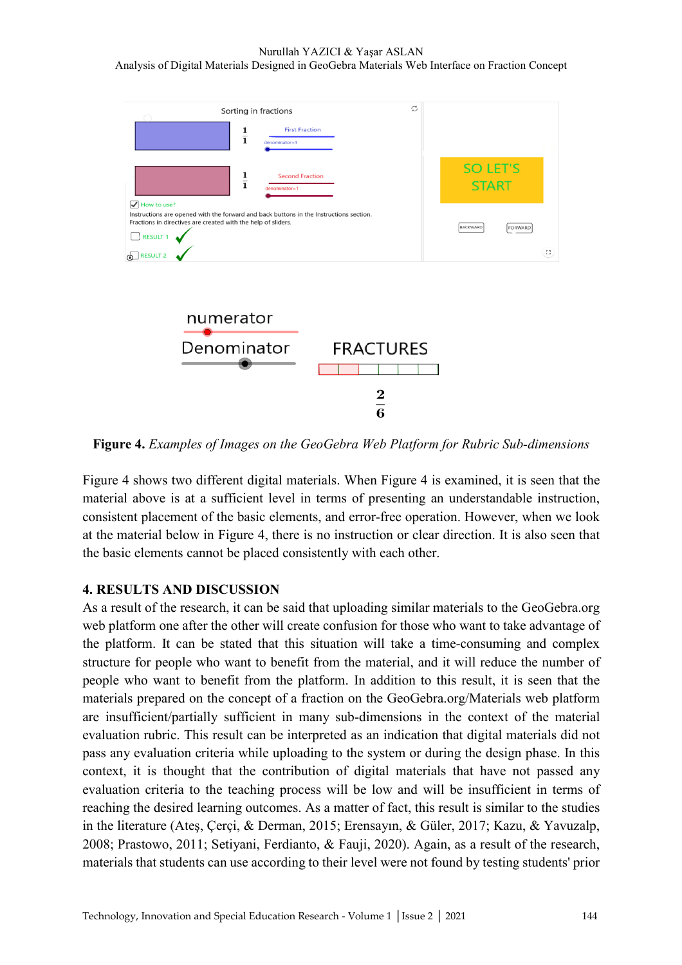### Nurullah YAZICI & Yaşar ASLAN Analysis of Digital Materials Designed in GeoGebra Materials Web Interface on Fraction Concept



**Figure 4.** *Examples of Images on the GeoGebra Web Platform for Rubric Sub-dimensions* 

Figure 4 shows two different digital materials. When Figure 4 is examined, it is seen that the material above is at a sufficient level in terms of presenting an understandable instruction, consistent placement of the basic elements, and error-free operation. However, when we look at the material below in Figure 4, there is no instruction or clear direction. It is also seen that the basic elements cannot be placed consistently with each other.

## **4. RESULTS AND DISCUSSION**

As a result of the research, it can be said that uploading similar materials to the GeoGebra.org web platform one after the other will create confusion for those who want to take advantage of the platform. It can be stated that this situation will take a time-consuming and complex structure for people who want to benefit from the material, and it will reduce the number of people who want to benefit from the platform. In addition to this result, it is seen that the materials prepared on the concept of a fraction on the GeoGebra.org/Materials web platform are insufficient/partially sufficient in many sub-dimensions in the context of the material evaluation rubric. This result can be interpreted as an indication that digital materials did not pass any evaluation criteria while uploading to the system or during the design phase. In this context, it is thought that the contribution of digital materials that have not passed any evaluation criteria to the teaching process will be low and will be insufficient in terms of reaching the desired learning outcomes. As a matter of fact, this result is similar to the studies in the literature (Ateş, Çerçi, & Derman, 2015; Erensayın, & Güler, 2017; Kazu, & Yavuzalp, 2008; Prastowo, 2011; Setiyani, Ferdianto, & Fauji, 2020). Again, as a result of the research, materials that students can use according to their level were not found by testing students' prior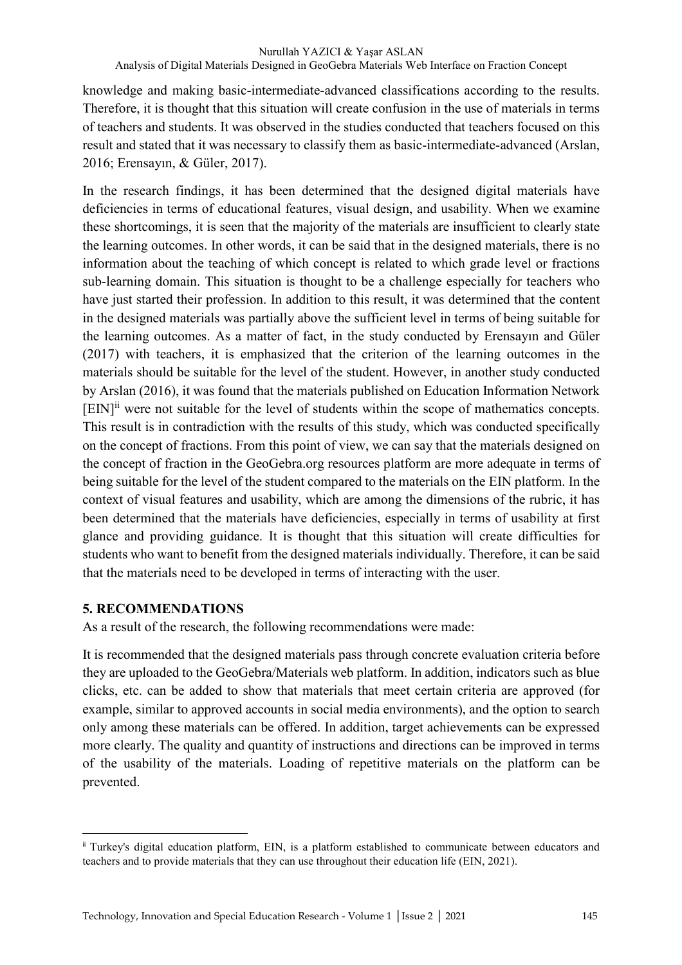knowledge and making basic-intermediate-advanced classifications according to the results. Therefore, it is thought that this situation will create confusion in the use of materials in terms of teachers and students. It was observed in the studies conducted that teachers focused on this result and stated that it was necessary to classify them as basic-intermediate-advanced (Arslan, 2016; Erensayın, & Güler, 2017).

In the research findings, it has been determined that the designed digital materials have deficiencies in terms of educational features, visual design, and usability. When we examine these shortcomings, it is seen that the majority of the materials are insufficient to clearly state the learning outcomes. In other words, it can be said that in the designed materials, there is no information about the teaching of which concept is related to which grade level or fractions sub-learning domain. This situation is thought to be a challenge especially for teachers who have just started their profession. In addition to this result, it was determined that the content in the designed materials was partially above the sufficient level in terms of being suitable for the learning outcomes. As a matter of fact, in the study conducted by Erensayın and Güler (2017) with teachers, it is emphasized that the criterion of the learning outcomes in the materials should be suitable for the level of the student. However, in another study conducted by Arslan (2016), it was found that the materials published on Education Information Network [EIN]ii were not suitable for the level of students within the scope of mathematics concepts. This result is in contradiction with the results of this study, which was conducted specifically on the concept of fractions. From this point of view, we can say that the materials designed on the concept of fraction in the GeoGebra.org resources platform are more adequate in terms of being suitable for the level of the student compared to the materials on the EIN platform. In the context of visual features and usability, which are among the dimensions of the rubric, it has been determined that the materials have deficiencies, especially in terms of usability at first glance and providing guidance. It is thought that this situation will create difficulties for students who want to benefit from the designed materials individually. Therefore, it can be said that the materials need to be developed in terms of interacting with the user.

## **5. RECOMMENDATIONS**

 $\overline{a}$ 

As a result of the research, the following recommendations were made:

It is recommended that the designed materials pass through concrete evaluation criteria before they are uploaded to the GeoGebra/Materials web platform. In addition, indicators such as blue clicks, etc. can be added to show that materials that meet certain criteria are approved (for example, similar to approved accounts in social media environments), and the option to search only among these materials can be offered. In addition, target achievements can be expressed more clearly. The quality and quantity of instructions and directions can be improved in terms of the usability of the materials. Loading of repetitive materials on the platform can be prevented.

ii Turkey's digital education platform, EIN, is a platform established to communicate between educators and teachers and to provide materials that they can use throughout their education life (EIN, 2021).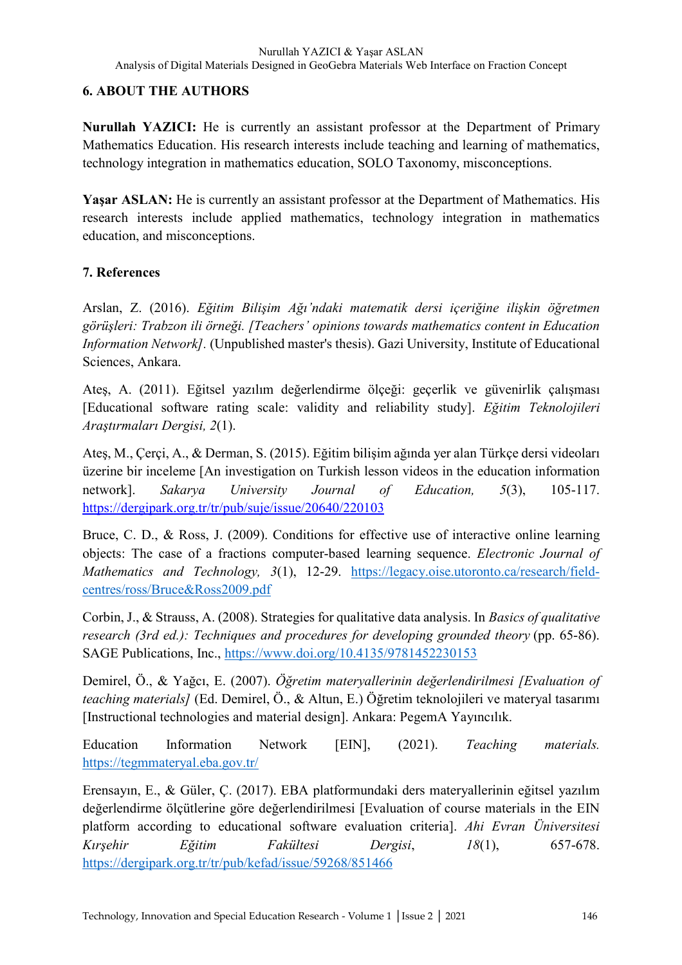## **6. ABOUT THE AUTHORS**

**Nurullah YAZICI:** He is currently an assistant professor at the Department of Primary Mathematics Education. His research interests include teaching and learning of mathematics, technology integration in mathematics education, SOLO Taxonomy, misconceptions.

Yasar ASLAN: He is currently an assistant professor at the Department of Mathematics. His research interests include applied mathematics, technology integration in mathematics education, and misconceptions.

## **7. References**

Arslan, Z. (2016). *Eğitim Bilişim Ağı'ndaki matematik dersi içeriğine ilişkin öğretmen görüşleri: Trabzon ili örneği. [Teachers' opinions towards mathematics content in Education Information Network].* (Unpublished master's thesis). Gazi University, Institute of Educational Sciences, Ankara.

Ateş, A. (2011). Eğitsel yazılım değerlendirme ölçeği: geçerlik ve güvenirlik çalışması [Educational software rating scale: validity and reliability study]. *Eğitim Teknolojileri Araştırmaları Dergisi, 2*(1).

Ateş, M., Çerçi, A., & Derman, S. (2015). Eğitim bilişim ağında yer alan Türkçe dersi videoları üzerine bir inceleme [An investigation on Turkish lesson videos in the education information network]. *Sakarya University Journal of Education, 5*(3), 105-117. https://dergipark.org.tr/tr/pub/suje/issue/20640/220103

Bruce, C. D., & Ross, J. (2009). Conditions for effective use of interactive online learning objects: The case of a fractions computer-based learning sequence. *Electronic Journal of Mathematics and Technology, 3*(1), 12-29. https://legacy.oise.utoronto.ca/research/fieldcentres/ross/Bruce&Ross2009.pdf

Corbin, J., & Strauss, A. (2008). Strategies for qualitative data analysis. In *Basics of qualitative research (3rd ed.): Techniques and procedures for developing grounded theory* (pp. 65-86). SAGE Publications, Inc., https://www.doi.org/10.4135/9781452230153

Demirel, Ö., & Yağcı, E. (2007). *Öğretim materyallerinin değerlendirilmesi [Evaluation of teaching materials]* (Ed. Demirel, Ö., & Altun, E.) Öğretim teknolojileri ve materyal tasarımı [Instructional technologies and material design]. Ankara: PegemA Yayıncılık.

Education Information Network [EIN], (2021). *Teaching materials.* https://tegmmateryal.eba.gov.tr/

Erensayın, E., & Güler, Ç. (2017). EBA platformundaki ders materyallerinin eğitsel yazılım değerlendirme ölçütlerine göre değerlendirilmesi [Evaluation of course materials in the EIN platform according to educational software evaluation criteria]. *Ahi Evran Üniversitesi Kırşehir Eğitim Fakültesi Dergisi*, *18*(1), 657-678. https://dergipark.org.tr/tr/pub/kefad/issue/59268/851466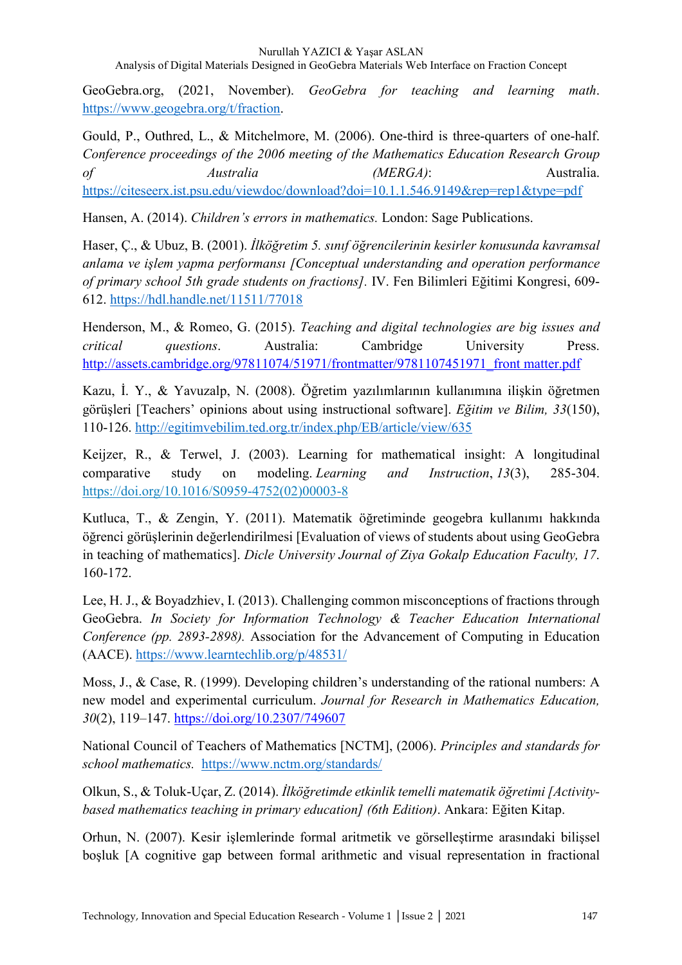Analysis of Digital Materials Designed in GeoGebra Materials Web Interface on Fraction Concept

GeoGebra.org, (2021, November). *GeoGebra for teaching and learning math*. https://www.geogebra.org/t/fraction.

Gould, P., Outhred, L., & Mitchelmore, M. (2006). One-third is three-quarters of one-half. *Conference proceedings of the 2006 meeting of the Mathematics Education Research Group of Australia (MERGA)*: Australia. https://citeseerx.ist.psu.edu/viewdoc/download?doi=10.1.1.546.9149&rep=rep1&type=pdf

Hansen, A. (2014). *Children's errors in mathematics.* London: Sage Publications.

Haser, Ç., & Ubuz, B. (2001). *İlköğretim 5. sınıf öğrencilerinin kesirler konusunda kavramsal anlama ve işlem yapma performansı [Conceptual understanding and operation performance of primary school 5th grade students on fractions].* IV. Fen Bilimleri Eğitimi Kongresi, 609- 612. https://hdl.handle.net/11511/77018

Henderson, M., & Romeo, G. (2015). *Teaching and digital technologies are big issues and critical questions*. Australia: Cambridge University Press. http://assets.cambridge.org/97811074/51971/frontmatter/9781107451971\_front matter.pdf

Kazu, İ. Y., & Yavuzalp, N. (2008). Öğretim yazılımlarının kullanımına ilişkin öğretmen görüşleri [Teachers' opinions about using instructional software]. *Eğitim ve Bilim, 33*(150), 110-126. http://egitimvebilim.ted.org.tr/index.php/EB/article/view/635

Keijzer, R., & Terwel, J. (2003). Learning for mathematical insight: A longitudinal comparative study on modeling. *Learning and Instruction*, *13*(3), 285-304. https://doi.org/10.1016/S0959-4752(02)00003-8

Kutluca, T., & Zengin, Y. (2011). Matematik öğretiminde geogebra kullanımı hakkında öğrenci görüşlerinin değerlendirilmesi [Evaluation of views of students about using GeoGebra in teaching of mathematics]. *Dicle University Journal of Ziya Gokalp Education Faculty, 17*. 160-172.

Lee, H. J., & Boyadzhiev, I. (2013). Challenging common misconceptions of fractions through GeoGebra. *In Society for Information Technology & Teacher Education International Conference (pp. 2893-2898).* Association for the Advancement of Computing in Education (AACE). https://www.learntechlib.org/p/48531/

Moss, J., & Case, R. (1999). Developing children's understanding of the rational numbers: A new model and experimental curriculum. *Journal for Research in Mathematics Education, 30*(2), 119–147. https://doi.org/10.2307/749607

National Council of Teachers of Mathematics [NCTM], (2006). *Principles and standards for school mathematics.* https://www.nctm.org/standards/

Olkun, S., & Toluk-Uçar, Z. (2014). *İlköğretimde etkinlik temelli matematik öğretimi [Activitybased mathematics teaching in primary education] (6th Edition)*. Ankara: Eğiten Kitap.

Orhun, N. (2007). Kesir işlemlerinde formal aritmetik ve görselleştirme arasındaki bilişsel boşluk [A cognitive gap between formal arithmetic and visual representation in fractional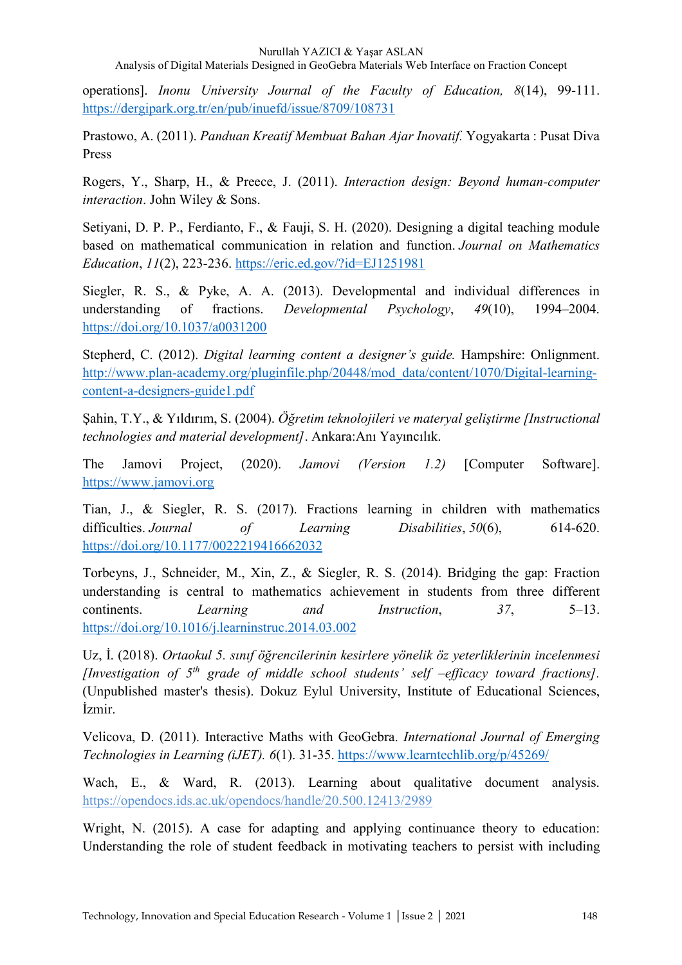Analysis of Digital Materials Designed in GeoGebra Materials Web Interface on Fraction Concept

operations]. *Inonu University Journal of the Faculty of Education, 8*(14), 99-111. https://dergipark.org.tr/en/pub/inuefd/issue/8709/108731

Prastowo, A. (2011). *Panduan Kreatif Membuat Bahan Ajar Inovatif.* Yogyakarta : Pusat Diva Press

Rogers, Y., Sharp, H., & Preece, J. (2011). *Interaction design: Beyond human-computer interaction*. John Wiley & Sons.

Setiyani, D. P. P., Ferdianto, F., & Fauji, S. H. (2020). Designing a digital teaching module based on mathematical communication in relation and function. *Journal on Mathematics Education*, *11*(2), 223-236. https://eric.ed.gov/?id=EJ1251981

Siegler, R. S., & Pyke, A. A. (2013). Developmental and individual differences in understanding of fractions. *Developmental Psychology*, *49*(10), 1994–2004. https://doi.org/10.1037/a0031200

Stepherd, C. (2012). *Digital learning content a designer's guide.* Hampshire: Onlignment. http://www.plan-academy.org/pluginfile.php/20448/mod\_data/content/1070/Digital-learningcontent-a-designers-guide1.pdf

Şahin, T.Y., & Yıldırım, S. (2004). *Öğretim teknolojileri ve materyal geliştirme [Instructional technologies and material development]*. Ankara:Anı Yayıncılık.

The Jamovi Project, (2020). *Jamovi (Version 1.2)* [Computer Software]. https://www.jamovi.org

Tian, J., & Siegler, R. S. (2017). Fractions learning in children with mathematics difficulties. *Journal* of Learning Disabilities,  $50(6)$ , 614-620. https://doi.org/10.1177/0022219416662032

Torbeyns, J., Schneider, M., Xin, Z., & Siegler, R. S. (2014). Bridging the gap: Fraction understanding is central to mathematics achievement in students from three different continents. *Learning and Instruction*, *37*, 5–13. https://doi.org/10.1016/j.learninstruc.2014.03.002

Uz, İ. (2018). *Ortaokul 5. sınıf öğrencilerinin kesirlere yönelik öz yeterliklerinin incelenmesi [Investigation of 5th grade of middle school students' self –efficacy toward fractions].*  (Unpublished master's thesis). Dokuz Eylul University, Institute of Educational Sciences, İzmir.

Velicova, D. (2011). Interactive Maths with GeoGebra. *International Journal of Emerging Technologies in Learning (iJET). 6*(1). 31-35. https://www.learntechlib.org/p/45269/

Wach, E., & Ward, R. (2013). Learning about qualitative document analysis. https://opendocs.ids.ac.uk/opendocs/handle/20.500.12413/2989

Wright, N. (2015). A case for adapting and applying continuance theory to education: Understanding the role of student feedback in motivating teachers to persist with including